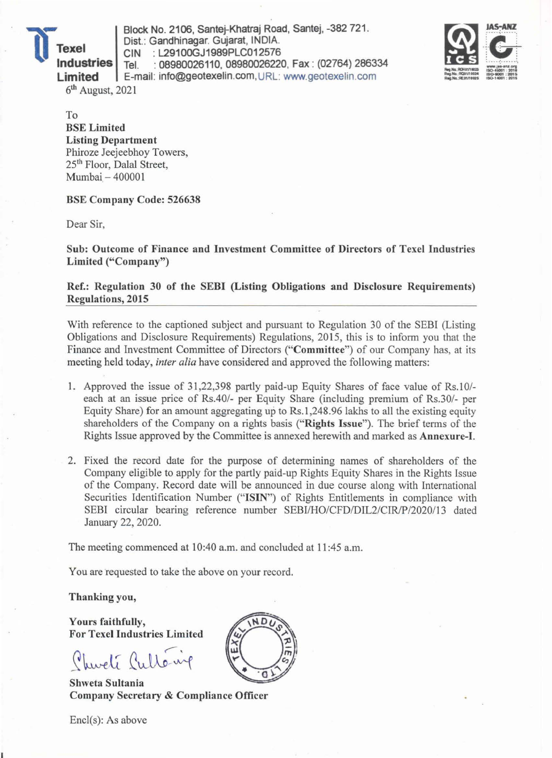11- Block No. 2106, Santej-Khatraj Road, Santej, -382 721.<br> **11 Dist.: Gandhinagar. Gujarat, INDIA.**<br> **129100GJ1989PLC012576**<br> **129100GJ1989PLC012576**<br> **129100GJ1989PLC012576**<br> **129100GJ1989PLC012576 Industries** Tel. : 08980026110, 08980026220, Fax : (02764) 286334 **Limited** E-mail: info@geotexelin.com,URL: www.geotexelin.com  $6<sup>th</sup>$  August, 2021



To BSE Limited Listing Department Phiroze Jeejeebhoy Towers, 25th Floor, Dalal Street, Mumbai- 400001

BSE Company Code: 526638

Dear Sir,

Sub: Outcome of Finance and Investment Committee of Directors of Texel Industries Limited ("Company")

Ref.: Regulation 30 of the SEBI (Listing Obligations and Disclosure Requirements) Regulations, 2015

With reference to the captioned subject and pursuant to Regulation 30 of the SEBI (Listing Obligations and Disclosure Requirements) Regulations, 2015, this is to inform you that the Finance and Investment Committee of Directors ("Committee") of our Company has, at its meeting held today, *inter alia* have considered and approved the following matters:

- 1. Approved the issue of 31,22,398 partly paid-up Equity Shares of face value of Rs.10/each at an issue price of Rs.40/- per Equity Share (including premium of Rs.30/- per Equity Share) for an amount aggregating up to Rs.I ,248.96 lakhs to all the existing equity shareholders of the Company on a rights basis ("Rights Issue"). The brief terms of the Rights Issue approved by the Committee is annexed herewith and marked as Annexure-I.
- 2. Fixed the record date for the purpose of determining names of shareholders of the Company eligible to apply for the partly paid-up Rights Equity Shares in the Rights Issue of the Company. Record date will be announced in due course along with International Securities Identification Number ("ISIN") of Rights Entitlements in compliance with SEBI circular bearing reference number SEBI/HO/CFD/DIL2/CIR/P/2020/13 dated January 22, 2020.

The meeting commenced at 10:40 a.m. and concluded at II :45 a.m.

You are requested to take the above on your record.

Thanking you,

Yours faithfully, For Texel Industries Limited

Churchi Cultéril

Shweta Sultania Company Secretary & Compliance Officer

Encl(s): As above